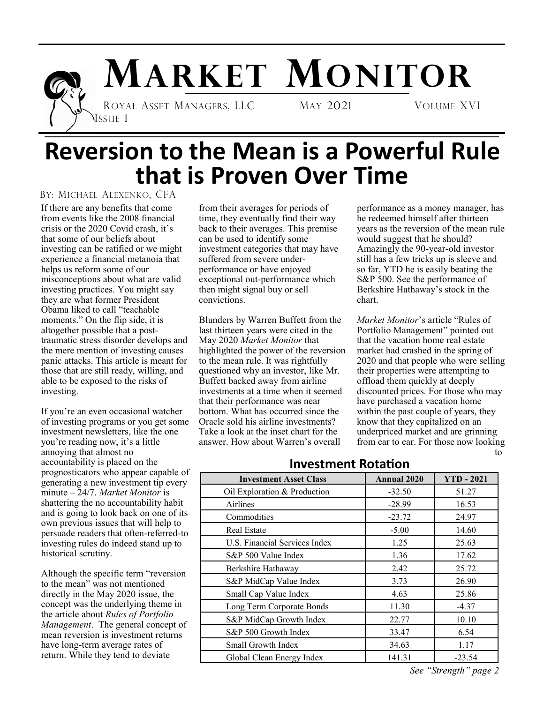

# **MARKET MONITOR**

 ROYAL ASSET MANAGERS, LLC MAY 2021 VOLUME XVI ISSUE 1

## **Reversion to the Mean is a Powerful Rule that is Proven Over Time**

#### BY: MICHAEL ALEXENKO, CFA

If there are any benefits that come from events like the 2008 financial crisis or the 2020 Covid crash, it's that some of our beliefs about investing can be ratified or we might experience a financial metanoia that helps us reform some of our misconceptions about what are valid investing practices. You might say they are what former President Obama liked to call "teachable moments." On the flip side, it is altogether possible that a posttraumatic stress disorder develops and the mere mention of investing causes panic attacks. This article is meant for those that are still ready, willing, and able to be exposed to the risks of investing.

If you're an even occasional watcher of investing programs or you get some investment newsletters, like the one you're reading now, it's a little annoying that almost no accountability is placed on the prognosticators who appear capable of generating a new investment tip every minute – 24/7. *Market Monitor* is shattering the no accountability habit and is going to look back on one of its own previous issues that will help to persuade readers that often-referred-to investing rules do indeed stand up to historical scrutiny.

Although the specific term "reversion to the mean" was not mentioned directly in the May 2020 issue, the concept was the underlying theme in the article about *Rules of Portfolio Management*. The general concept of mean reversion is investment returns have long-term average rates of return. While they tend to deviate

from their averages for periods of time, they eventually find their way back to their averages. This premise can be used to identify some investment categories that may have suffered from severe underperformance or have enjoyed exceptional out-performance which then might signal buy or sell convictions.

Blunders by Warren Buffett from the last thirteen years were cited in the May 2020 *Market Monitor* that highlighted the power of the reversion to the mean rule. It was rightfully questioned why an investor, like Mr. Buffett backed away from airline investments at a time when it seemed that their performance was near bottom. What has occurred since the Oracle sold his airline investments? Take a look at the inset chart for the answer. How about Warren's overall

performance as a money manager, has he redeemed himself after thirteen years as the reversion of the mean rule would suggest that he should? Amazingly the 90-year-old investor still has a few tricks up is sleeve and so far, YTD he is easily beating the S&P 500. See the performance of Berkshire Hathaway's stock in the chart.

*Market Monitor*'s article "Rules of Portfolio Management" pointed out that the vacation home real estate market had crashed in the spring of 2020 and that people who were selling their properties were attempting to offload them quickly at deeply discounted prices. For those who may have purchased a vacation home within the past couple of years, they know that they capitalized on an underpriced market and are grinning from ear to ear. For those now looking to

| <b>Investment Asset Class</b> | <b>Annual 2020</b> | $YTD - 2021$ |
|-------------------------------|--------------------|--------------|
| Oil Exploration & Production  | $-32.50$           | 51.27        |
| Airlines                      | $-28.99$           | 16.53        |
| Commodities                   | $-23.72$           | 24.97        |
| <b>Real Estate</b>            | $-5.00$            | 14.60        |
| U.S. Financial Services Index | 1.25               | 25.63        |
| S&P 500 Value Index           | 1.36               | 17.62        |
| Berkshire Hathaway            | 2.42               | 25.72        |
| S&P MidCap Value Index        | 3.73               | 26.90        |
| Small Cap Value Index         | 4.63               | 25.86        |
| Long Term Corporate Bonds     | 11.30              | $-4.37$      |
| S&P MidCap Growth Index       | 22.77              | 10.10        |
| S&P 500 Growth Index          | 33.47              | 6.54         |
| Small Growth Index            | 34.63              | 1.17         |
| Global Clean Energy Index     | 141.31             | $-23.54$     |

#### **Investment Rotation**

*See "Strength" page 2*